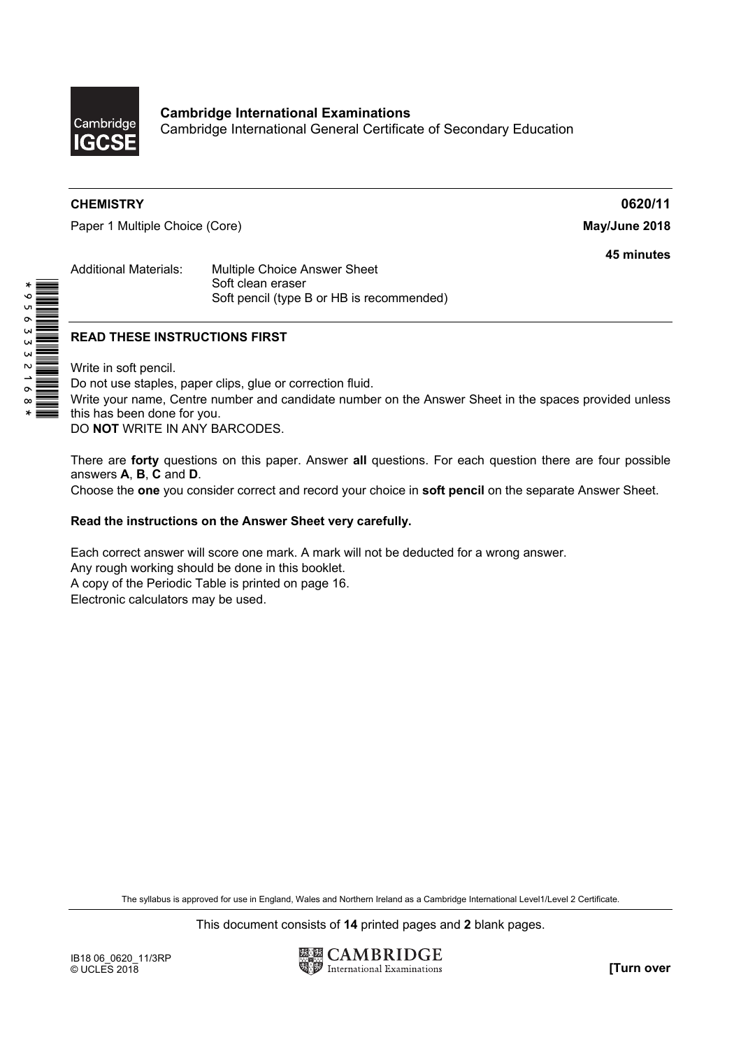

Cambridge International General Certificate of Secondary Education

# **CHEMISTRY 0620/11**

Paper 1 Multiple Choice (Core) **May/June 2018** 

**45 minutes** 

Additional Materials: Multiple Choice Answer Sheet Soft clean eraser Soft pencil (type B or HB is recommended)

### **READ THESE INSTRUCTIONS FIRST**

Write in soft pencil.

\*9563332168\*

Do not use staples, paper clips, glue or correction fluid. Write your name, Centre number and candidate number on the Answer Sheet in the spaces provided unless this has been done for you. DO **NOT** WRITE IN ANY BARCODES.

There are **forty** questions on this paper. Answer **all** questions. For each question there are four possible answers **A**, **B**, **C** and **D**.

Choose the **one** you consider correct and record your choice in **soft pencil** on the separate Answer Sheet.

### **Read the instructions on the Answer Sheet very carefully.**

Each correct answer will score one mark. A mark will not be deducted for a wrong answer. Any rough working should be done in this booklet. A copy of the Periodic Table is printed on page 16. Electronic calculators may be used.

The syllabus is approved for use in England, Wales and Northern Ireland as a Cambridge International Level1/Level 2 Certificate.

This document consists of **14** printed pages and **2** blank pages.

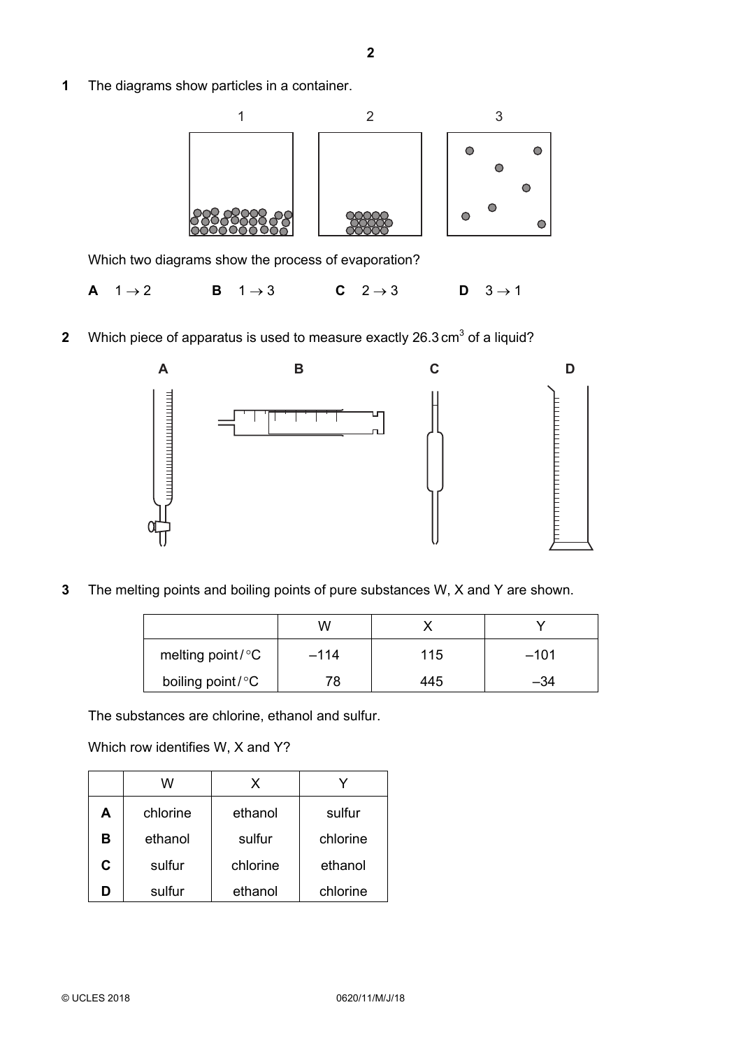**1** The diagrams show particles in a container.



Which two diagrams show the process of evaporation?

- **A** 1 → 2 **B** 1 → 3 **C** 2 → 3 **D** 3 → 1
- 2 Which piece of apparatus is used to measure exactly  $26.3 \text{ cm}^3$  of a liquid?



**3** The melting points and boiling points of pure substances W, X and Y are shown.

|                  | W      |     |        |
|------------------|--------|-----|--------|
| melting point/°C | $-114$ | 115 | $-101$ |
| boiling point/°C | 78     | 445 | -34    |

The substances are chlorine, ethanol and sulfur.

Which row identifies W, X and Y?

|   | W        | X        |          |
|---|----------|----------|----------|
| А | chlorine | ethanol  | sulfur   |
| в | ethanol  | sulfur   | chlorine |
| C | sulfur   | chlorine | ethanol  |
| D | sulfur   | ethanol  | chlorine |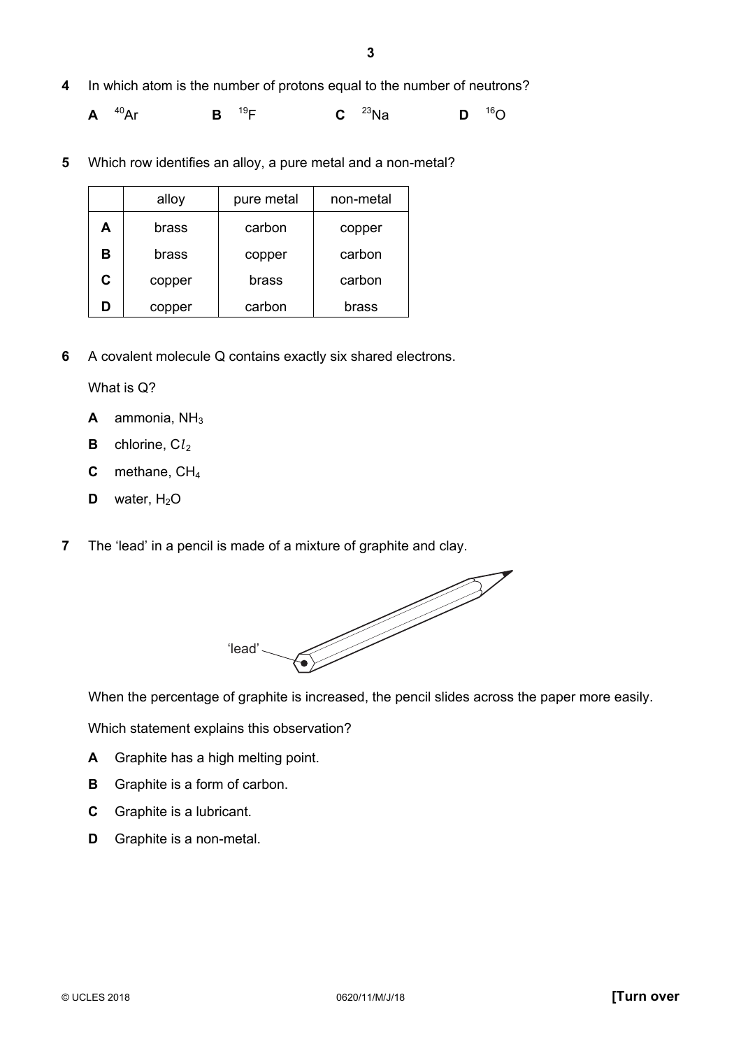- **4** In which atom is the number of protons equal to the number of neutrons?
	- **A** 40Ar **B** 19F **C** 23Na **D** 16O
- **5** Which row identifies an alloy, a pure metal and a non-metal?

|    | alloy  | pure metal | non-metal |
|----|--------|------------|-----------|
| А  | brass  | carbon     | copper    |
| в  | brass  | copper     | carbon    |
| C. | copper | brass      | carbon    |
| n  | copper | carbon     | brass     |

**6** A covalent molecule Q contains exactly six shared electrons.

What is Q?

- **A** ammonia, NH<sub>3</sub>
- **B** chlorine, Cl<sub>2</sub>
- **C** methane, CH<sub>4</sub>
- $D$  water,  $H_2O$
- **7** The 'lead' in a pencil is made of a mixture of graphite and clay.



When the percentage of graphite is increased, the pencil slides across the paper more easily.

Which statement explains this observation?

- **A** Graphite has a high melting point.
- **B** Graphite is a form of carbon.
- **C** Graphite is a lubricant.
- **D** Graphite is a non-metal.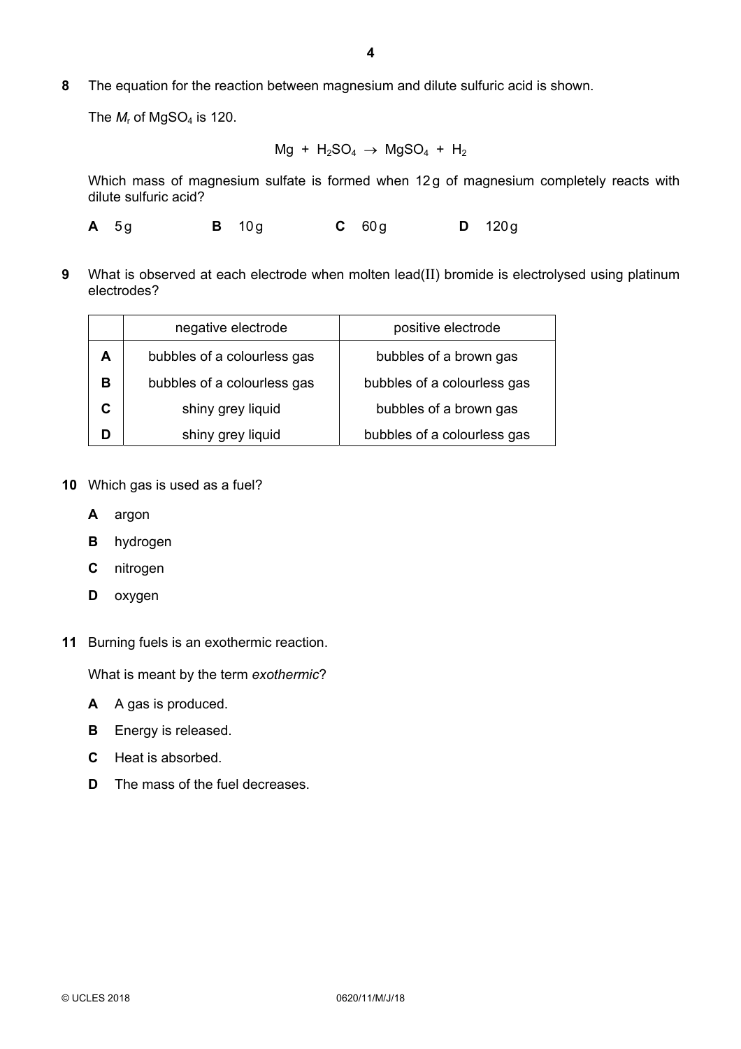**8** The equation for the reaction between magnesium and dilute sulfuric acid is shown.

The  $M_r$  of MgSO<sub>4</sub> is 120.

 $Mg + H_2SO_4 \rightarrow MgSO_4 + H_2$ 

Which mass of magnesium sulfate is formed when 12 g of magnesium completely reacts with dilute sulfuric acid?

**A** 5g **B** 10g **C** 60g **D** 120g

**9** What is observed at each electrode when molten lead(II) bromide is electrolysed using platinum electrodes?

|   | negative electrode          | positive electrode          |
|---|-----------------------------|-----------------------------|
| A | bubbles of a colourless gas | bubbles of a brown gas      |
| в | bubbles of a colourless gas | bubbles of a colourless gas |
| С | shiny grey liquid           | bubbles of a brown gas      |
| D | shiny grey liquid           | bubbles of a colourless gas |

- **10** Which gas is used as a fuel?
	- **A** argon
	- **B** hydrogen
	- **C** nitrogen
	- **D** oxygen
- **11** Burning fuels is an exothermic reaction.

What is meant by the term *exothermic*?

- **A** A gas is produced.
- **B** Energy is released.
- **C** Heat is absorbed.
- **D** The mass of the fuel decreases.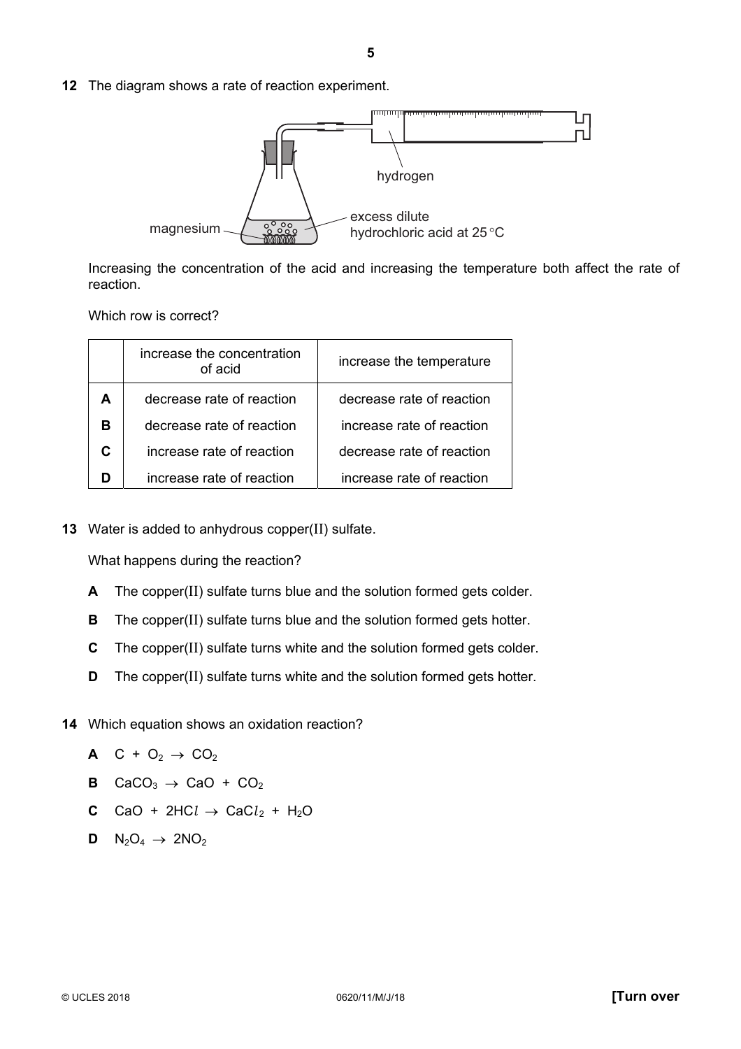**12** The diagram shows a rate of reaction experiment.



Increasing the concentration of the acid and increasing the temperature both affect the rate of reaction.

Which row is correct?

|   | increase the concentration<br>of acid | increase the temperature  |
|---|---------------------------------------|---------------------------|
| A | decrease rate of reaction             | decrease rate of reaction |
| в | decrease rate of reaction             | increase rate of reaction |
| C | increase rate of reaction             | decrease rate of reaction |
|   | increase rate of reaction             | increase rate of reaction |

**13** Water is added to anhydrous copper(II) sulfate.

What happens during the reaction?

- **A** The copper(II) sulfate turns blue and the solution formed gets colder.
- **B** The copper(II) sulfate turns blue and the solution formed gets hotter.
- **C** The copper(II) sulfate turns white and the solution formed gets colder.
- **D** The copper(II) sulfate turns white and the solution formed gets hotter.
- **14** Which equation shows an oxidation reaction?
	- **A**  $C + O_2 \rightarrow CO_2$
	- **B**  $CaCO<sub>3</sub> \rightarrow CaO + CO<sub>2</sub>$
	- **C** CaO + 2HC $l \rightarrow$  CaC $l_2$  + H<sub>2</sub>O
	- $D \quad N_2O_4 \rightarrow 2NO_2$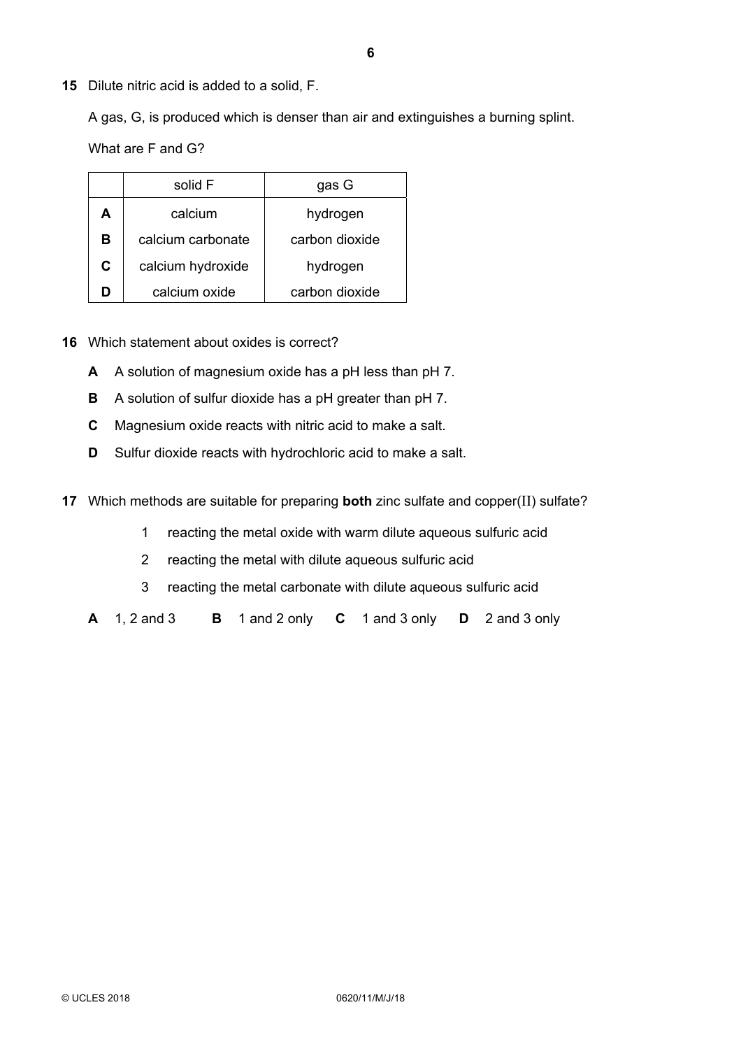**15** Dilute nitric acid is added to a solid, F.

A gas, G, is produced which is denser than air and extinguishes a burning splint.

What are F and G?

|   | solid F           | gas G          |
|---|-------------------|----------------|
| А | calcium           | hydrogen       |
| в | calcium carbonate | carbon dioxide |
| C | calcium hydroxide | hydrogen       |
|   | calcium oxide     | carbon dioxide |

- **16** Which statement about oxides is correct?
	- **A** A solution of magnesium oxide has a pH less than pH 7.
	- **B** A solution of sulfur dioxide has a pH greater than pH 7.
	- **C** Magnesium oxide reacts with nitric acid to make a salt.
	- **D** Sulfur dioxide reacts with hydrochloric acid to make a salt.
- **17** Which methods are suitable for preparing **both** zinc sulfate and copper(II) sulfate?
	- 1 reacting the metal oxide with warm dilute aqueous sulfuric acid
	- 2 reacting the metal with dilute aqueous sulfuric acid
	- 3 reacting the metal carbonate with dilute aqueous sulfuric acid
	- **A** 1, 2 and 3 **B** 1 and 2 only **C** 1 and 3 only **D** 2 and 3 only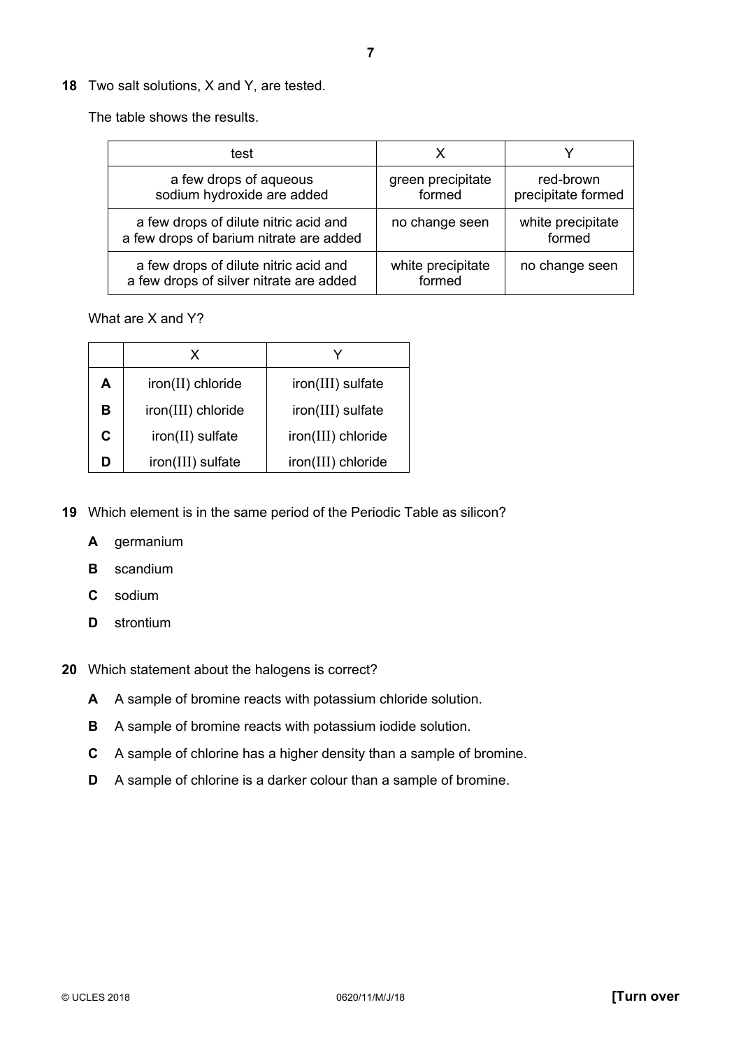**18** Two salt solutions, X and Y, are tested.

The table shows the results.

| test                                                                             |                             |                                 |
|----------------------------------------------------------------------------------|-----------------------------|---------------------------------|
| a few drops of aqueous<br>sodium hydroxide are added                             | green precipitate<br>formed | red-brown<br>precipitate formed |
| a few drops of dilute nitric acid and<br>a few drops of barium nitrate are added | no change seen              | white precipitate<br>formed     |
| a few drops of dilute nitric acid and<br>a few drops of silver nitrate are added | white precipitate<br>formed | no change seen                  |

What are X and Y?

|   | x                  |                    |
|---|--------------------|--------------------|
| A | iron(II) chloride  | iron(III) sulfate  |
| в | iron(III) chloride | iron(III) sulfate  |
| C | $iron(II)$ sulfate | iron(III) chloride |
| n | iron(III) sulfate  | iron(III) chloride |

- **19** Which element is in the same period of the Periodic Table as silicon?
	- **A** germanium
	- **B** scandium
	- **C** sodium
	- **D** strontium
- **20** Which statement about the halogens is correct?
	- **A** A sample of bromine reacts with potassium chloride solution.
	- **B** A sample of bromine reacts with potassium iodide solution.
	- **C** A sample of chlorine has a higher density than a sample of bromine.
	- **D** A sample of chlorine is a darker colour than a sample of bromine.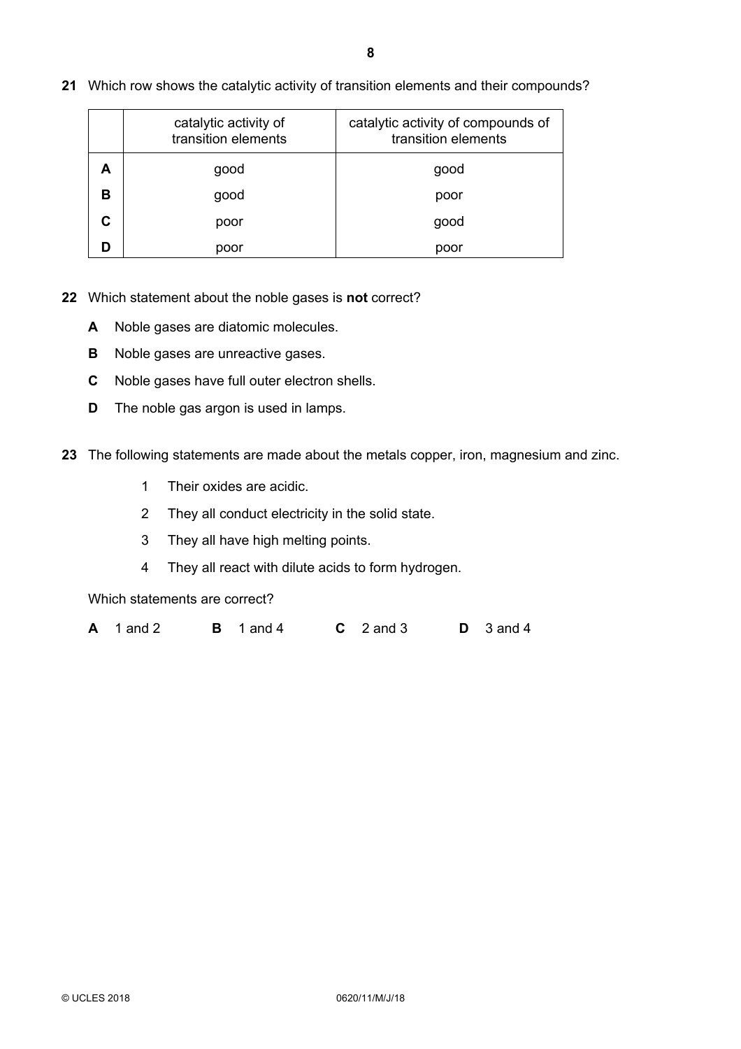**21** Which row shows the catalytic activity of transition elements and their compounds?

|    | catalytic activity of<br>transition elements | catalytic activity of compounds of<br>transition elements |
|----|----------------------------------------------|-----------------------------------------------------------|
|    | good                                         | good                                                      |
| в  | good                                         | poor                                                      |
| C. | poor                                         | good                                                      |
|    | poor                                         | poor                                                      |

- **22** Which statement about the noble gases is **not** correct?
	- **A** Noble gases are diatomic molecules.
	- **B** Noble gases are unreactive gases.
	- **C** Noble gases have full outer electron shells.
	- **D** The noble gas argon is used in lamps.
- **23** The following statements are made about the metals copper, iron, magnesium and zinc.
	- 1 Their oxides are acidic.
	- 2 They all conduct electricity in the solid state.
	- 3 They all have high melting points.
	- 4 They all react with dilute acids to form hydrogen.

Which statements are correct?

**A** 1 and 2 **B** 1 and 4 **C** 2 and 3 **D** 3 and 4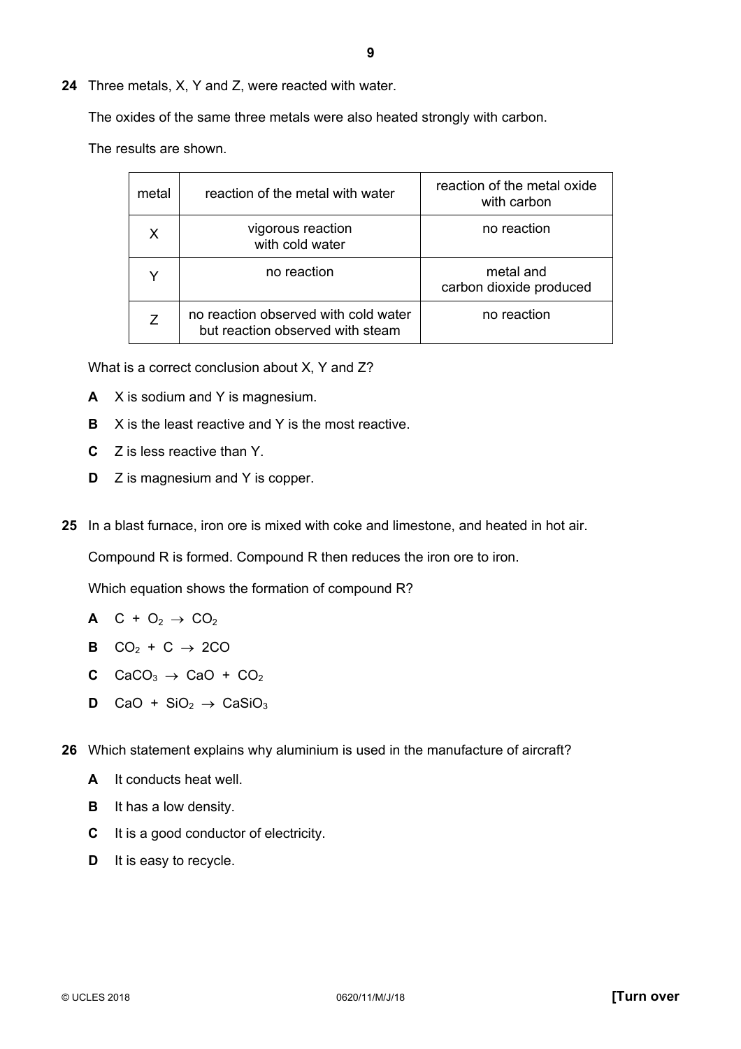**24** Three metals, X, Y and Z, were reacted with water.

The oxides of the same three metals were also heated strongly with carbon.

The results are shown.

| metal | reaction of the metal with water                                         | reaction of the metal oxide<br>with carbon |
|-------|--------------------------------------------------------------------------|--------------------------------------------|
|       | vigorous reaction<br>with cold water                                     | no reaction                                |
|       | no reaction                                                              | metal and<br>carbon dioxide produced       |
| 7     | no reaction observed with cold water<br>but reaction observed with steam | no reaction                                |

What is a correct conclusion about X, Y and Z?

- **A** X is sodium and Y is magnesium.
- **B** X is the least reactive and Y is the most reactive.
- **C** Z is less reactive than Y.
- **D** *Z* is magnesium and Y is copper.
- **25** In a blast furnace, iron ore is mixed with coke and limestone, and heated in hot air.

Compound R is formed. Compound R then reduces the iron ore to iron.

Which equation shows the formation of compound R?

- **A**  $C + O_2 \rightarrow CO_2$
- **B**  $CO<sub>2</sub> + C \rightarrow 2CO$
- **C**  $\text{CaCO}_3 \rightarrow \text{CaO} + \text{CO}_2$
- **D** CaO +  $SiO<sub>2</sub> \rightarrow CaSiO<sub>3</sub>$
- **26** Which statement explains why aluminium is used in the manufacture of aircraft?
	- **A** It conducts heat well.
	- **B** It has a low density.
	- **C** It is a good conductor of electricity.
	- **D** It is easy to recycle.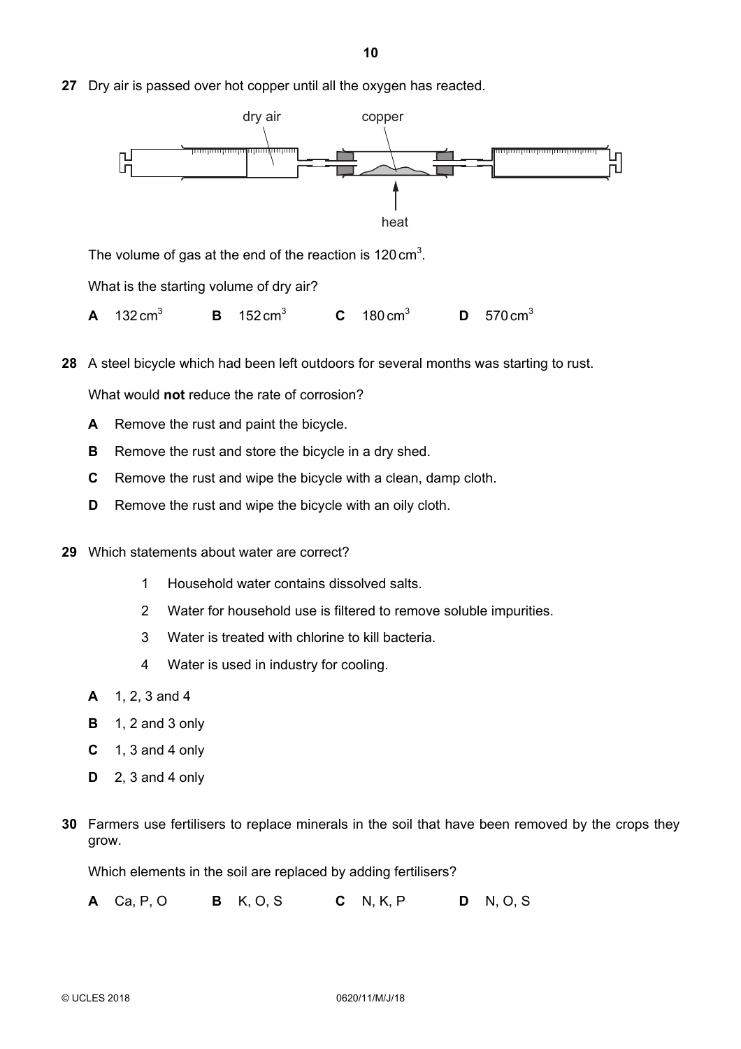**27** Dry air is passed over hot copper until all the oxygen has reacted.



The volume of gas at the end of the reaction is 120 cm<sup>3</sup>.

What is the starting volume of dry air?

**A** 132 cm3 **B** 152 cm3 **C** 180 cm3 **D** 570 cm3

**28** A steel bicycle which had been left outdoors for several months was starting to rust.

What would **not** reduce the rate of corrosion?

- **A** Remove the rust and paint the bicycle.
- **B** Remove the rust and store the bicycle in a dry shed.
- **C** Remove the rust and wipe the bicycle with a clean, damp cloth.
- **D** Remove the rust and wipe the bicycle with an oily cloth.
- **29** Which statements about water are correct?
	- 1 Household water contains dissolved salts.
	- 2 Water for household use is filtered to remove soluble impurities.
	- 3 Water is treated with chlorine to kill bacteria.
	- 4 Water is used in industry for cooling.
	- **A** 1, 2, 3 and 4
	- **B** 1, 2 and 3 only
	- **C** 1, 3 and 4 only
	- **D** 2, 3 and 4 only
- **30** Farmers use fertilisers to replace minerals in the soil that have been removed by the crops they grow.

Which elements in the soil are replaced by adding fertilisers?

**A** Ca, P, O **B** K, O, S **C** N, K, P **D** N, O, S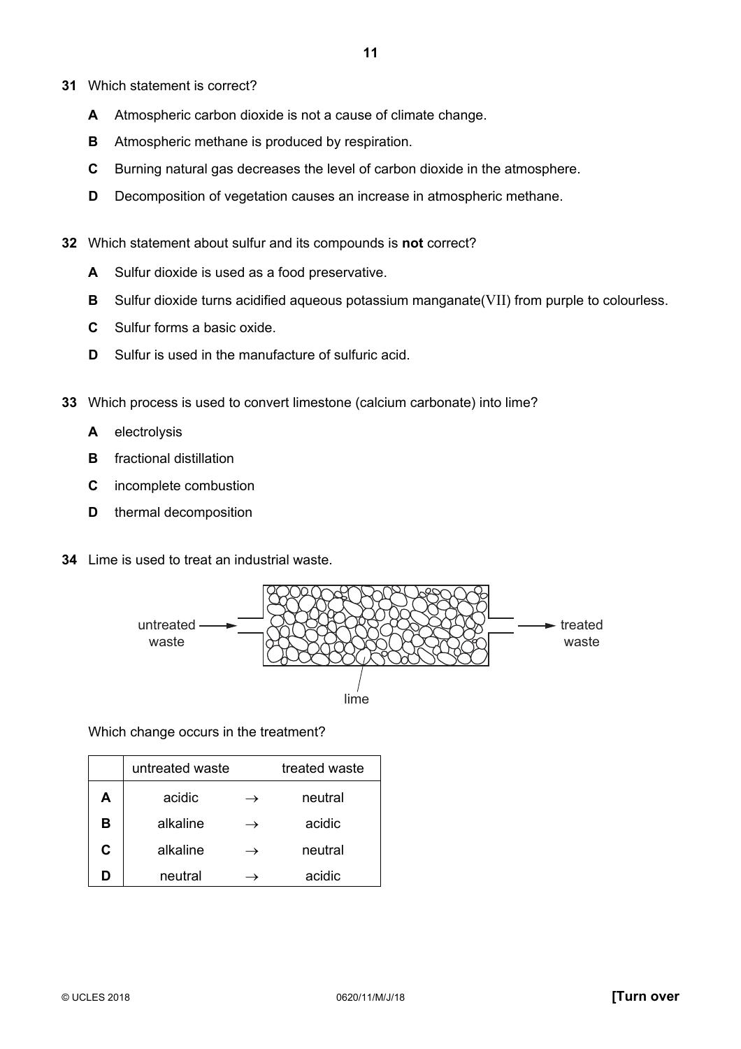- **31** Which statement is correct?
	- **A** Atmospheric carbon dioxide is not a cause of climate change.
	- **B** Atmospheric methane is produced by respiration.
	- **C** Burning natural gas decreases the level of carbon dioxide in the atmosphere.
	- **D** Decomposition of vegetation causes an increase in atmospheric methane.
- **32** Which statement about sulfur and its compounds is **not** correct?
	- **A** Sulfur dioxide is used as a food preservative.
	- **B** Sulfur dioxide turns acidified aqueous potassium manganate(VII) from purple to colourless.
	- **C** Sulfur forms a basic oxide.
	- **D** Sulfur is used in the manufacture of sulfuric acid.
- **33** Which process is used to convert limestone (calcium carbonate) into lime?
	- **A** electrolysis
	- **B** fractional distillation
	- **C** incomplete combustion
	- **D** thermal decomposition
- **34** Lime is used to treat an industrial waste.



Which change occurs in the treatment?

|   | untreated waste |               | treated waste |
|---|-----------------|---------------|---------------|
| А | acidic          | $\rightarrow$ | neutral       |
| в | alkaline        | $\rightarrow$ | acidic        |
| С | alkaline        | $\rightarrow$ | neutral       |
| n | neutral         |               | acidic        |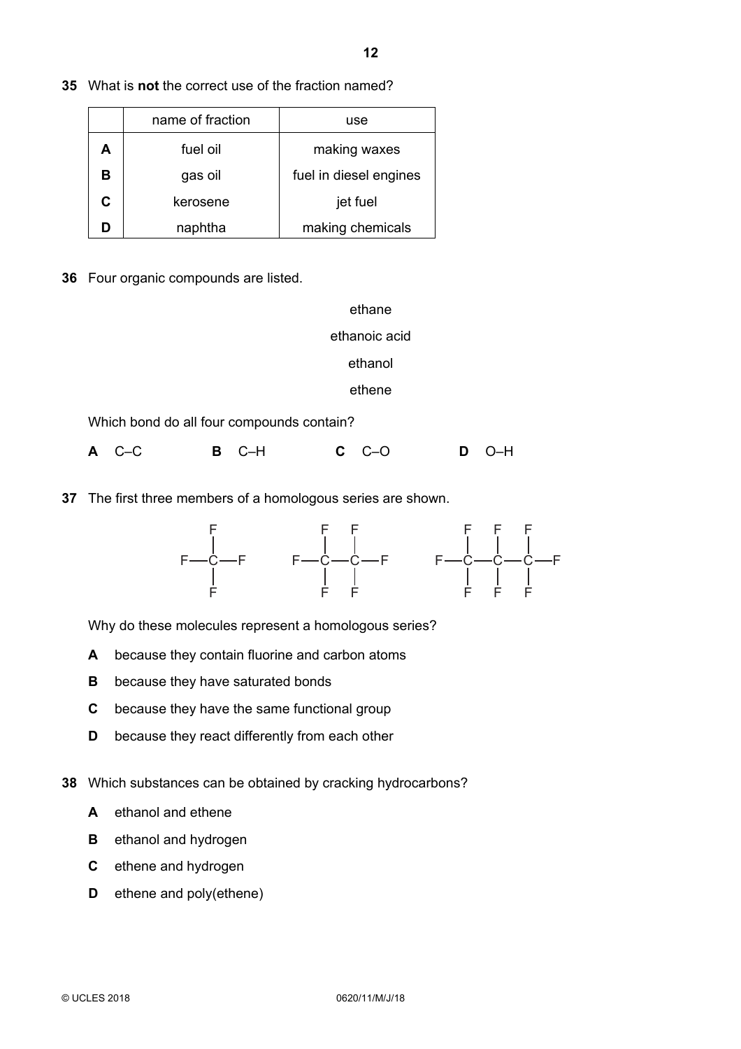|   | name of fraction | use                    |
|---|------------------|------------------------|
| А | fuel oil         | making waxes           |
| в | gas oil          | fuel in diesel engines |
| C | kerosene         | jet fuel               |
|   | naphtha          | making chemicals       |

**35** What is **not** the correct use of the fraction named?

**36** Four organic compounds are listed.

ethane ethanoic acid ethanol ethene

Which bond do all four compounds contain?

|  | $A$ C-C |  | B C-H |  | $C$ $C-O$ |  | $D$ O-H |
|--|---------|--|-------|--|-----------|--|---------|
|--|---------|--|-------|--|-----------|--|---------|

**37** The first three members of a homologous series are shown.



Why do these molecules represent a homologous series?

- **A** because they contain fluorine and carbon atoms
- **B** because they have saturated bonds
- **C** because they have the same functional group
- **D** because they react differently from each other

**38** Which substances can be obtained by cracking hydrocarbons?

- **A** ethanol and ethene
- **B** ethanol and hydrogen
- **C** ethene and hydrogen
- **D** ethene and poly(ethene)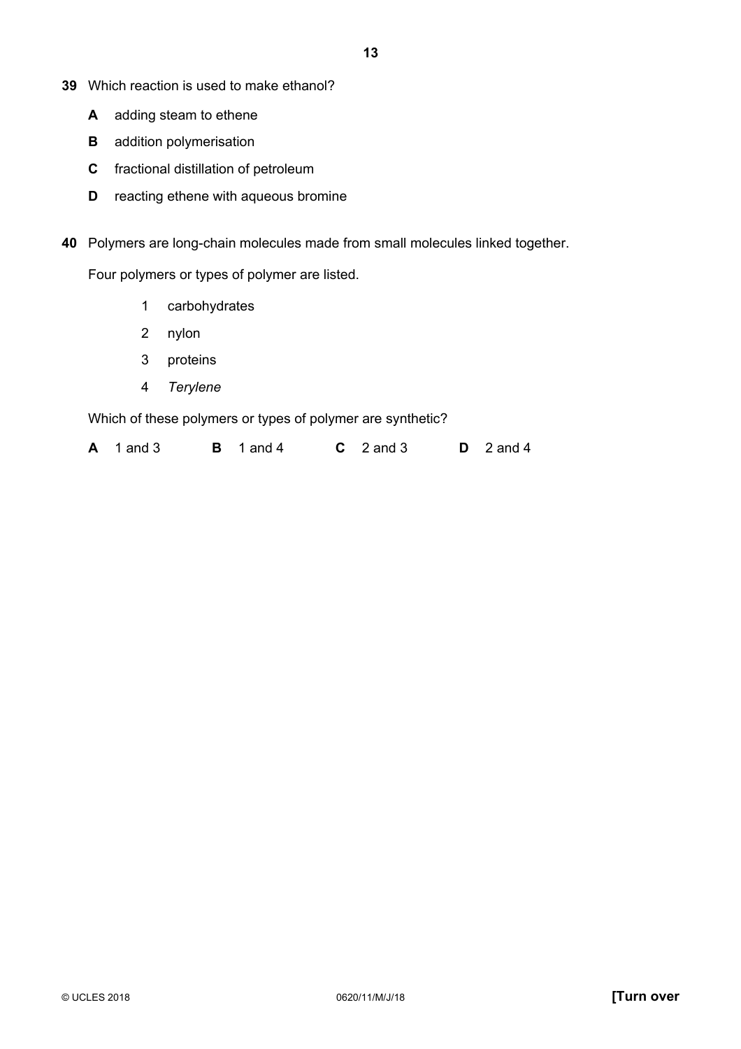- **39** Which reaction is used to make ethanol?
	- **A** adding steam to ethene
	- **B** addition polymerisation
	- **C** fractional distillation of petroleum
	- **D** reacting ethene with aqueous bromine
- **40** Polymers are long-chain molecules made from small molecules linked together.

Four polymers or types of polymer are listed.

- 1 carbohydrates
- 2 nylon
- 3 proteins
- 4 *Terylene*

Which of these polymers or types of polymer are synthetic?

| $C$ 2 and 3<br>$A \quad 1$ and 3<br>$\mathsf B$ 1 and 4 | $D \quad 2$ and 4 |
|---------------------------------------------------------|-------------------|
|---------------------------------------------------------|-------------------|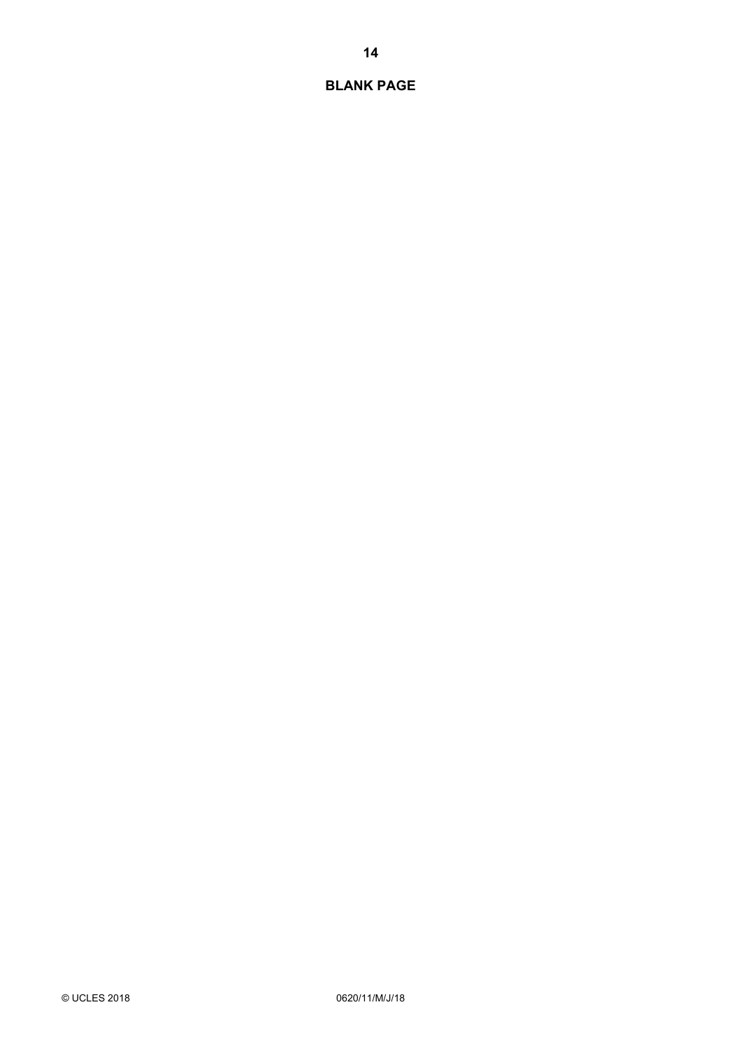## **BLANK PAGE**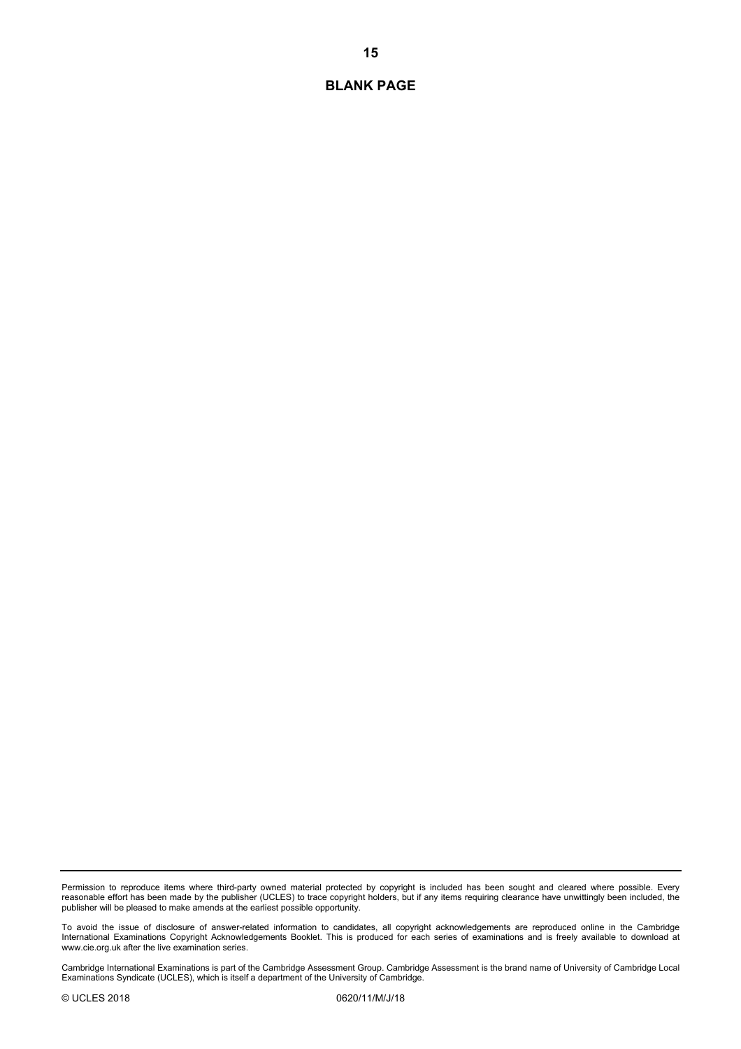#### **BLANK PAGE**

Permission to reproduce items where third-party owned material protected by copyright is included has been sought and cleared where possible. Every reasonable effort has been made by the publisher (UCLES) to trace copyright holders, but if any items requiring clearance have unwittingly been included, the publisher will be pleased to make amends at the earliest possible opportunity.

To avoid the issue of disclosure of answer-related information to candidates, all copyright acknowledgements are reproduced online in the Cambridge International Examinations Copyright Acknowledgements Booklet. This is produced for each series of examinations and is freely available to download at www.cie.org.uk after the live examination series.

Cambridge International Examinations is part of the Cambridge Assessment Group. Cambridge Assessment is the brand name of University of Cambridge Local Examinations Syndicate (UCLES), which is itself a department of the University of Cambridge.